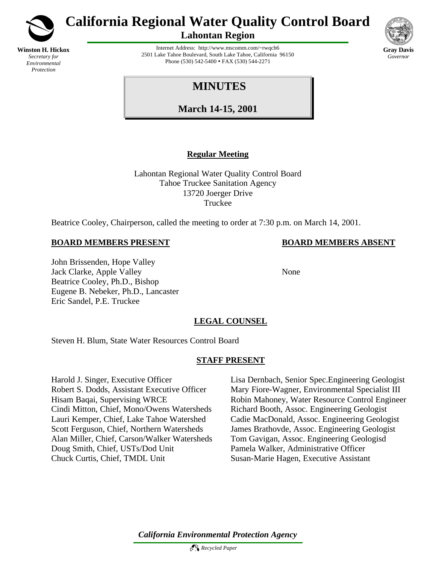

**Winston H. Hickox** *Secretary for Environmental Protection*

# **California Regional Water Quality Control Board**

**Lahontan Region**

Internet Address: http://www.mscomm.com/~rwqcb6 2501 Lake Tahoe Boulevard, South Lake Tahoe, California 96150 Phone (530) 542-5400 • FAX (530) 544-2271



# **MINUTES**

**March 14-15, 2001**

# **Regular Meeting**

Lahontan Regional Water Quality Control Board Tahoe Truckee Sanitation Agency 13720 Joerger Drive Truckee

Beatrice Cooley, Chairperson, called the meeting to order at 7:30 p.m. on March 14, 2001.

## **BOARD MEMBERS PRESENT BOARD MEMBERS ABSENT**

John Brissenden, Hope Valley Jack Clarke, Apple Valley None Beatrice Cooley, Ph.D., Bishop Eugene B. Nebeker, Ph.D., Lancaster Eric Sandel, P.E. Truckee

# **LEGAL COUNSEL**

Steven H. Blum, State Water Resources Control Board

# **STAFF PRESENT**

Cindi Mitton, Chief, Mono/Owens Watersheds Richard Booth, Assoc. Engineering Geologist Alan Miller, Chief, Carson/Walker Watersheds Tom Gavigan, Assoc. Engineering Geologisd Doug Smith, Chief, USTs/Dod Unit Pamela Walker, Administrative Officer Chuck Curtis, Chief, TMDL Unit Susan-Marie Hagen, Executive Assistant

Harold J. Singer, Executive Officer Lisa Dernbach, Senior Spec.Engineering Geologist Robert S. Dodds, Assistant Executive Officer Mary Fiore-Wagner, Environmental Specialist III Hisam Baqai, Supervising WRCE Robin Mahoney, Water Resource Control Engineer Lauri Kemper, Chief, Lake Tahoe Watershed Cadie MacDonald, Assoc. Engineering Geologist Scott Ferguson, Chief, Northern Watersheds James Brathovde, Assoc. Engineering Geologist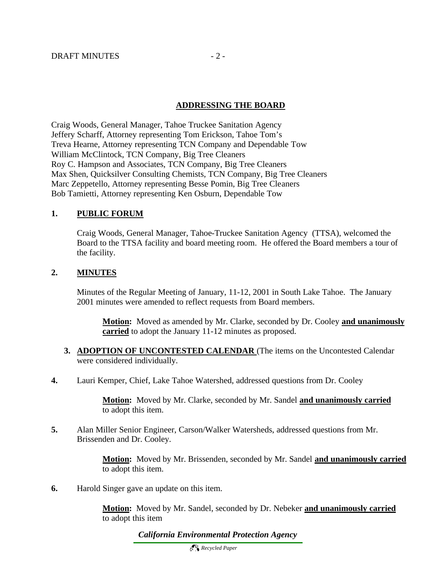#### **ADDRESSING THE BOARD**

Craig Woods, General Manager, Tahoe Truckee Sanitation Agency Jeffery Scharff, Attorney representing Tom Erickson, Tahoe Tom's Treva Hearne, Attorney representing TCN Company and Dependable Tow William McClintock, TCN Company, Big Tree Cleaners Roy C. Hampson and Associates, TCN Company, Big Tree Cleaners Max Shen, Quicksilver Consulting Chemists, TCN Company, Big Tree Cleaners Marc Zeppetello, Attorney representing Besse Pomin, Big Tree Cleaners Bob Tamietti, Attorney representing Ken Osburn, Dependable Tow

### **1. PUBLIC FORUM**

Craig Woods, General Manager, Tahoe-Truckee Sanitation Agency (TTSA), welcomed the Board to the TTSA facility and board meeting room. He offered the Board members a tour of the facility.

#### **2. MINUTES**

Minutes of the Regular Meeting of January, 11-12, 2001 in South Lake Tahoe. The January 2001 minutes were amended to reflect requests from Board members.

**Motion:** Moved as amended by Mr. Clarke, seconded by Dr. Cooley **and unanimously carried** to adopt the January 11-12 minutes as proposed.

- **3. ADOPTION OF UNCONTESTED CALENDAR** (The items on the Uncontested Calendar were considered individually.
- **4.** Lauri Kemper, Chief, Lake Tahoe Watershed, addressed questions from Dr. Cooley

**Motion:** Moved by Mr. Clarke, seconded by Mr. Sandel **and unanimously carried** to adopt this item.

**5.** Alan Miller Senior Engineer, Carson/Walker Watersheds, addressed questions from Mr. Brissenden and Dr. Cooley.

> **Motion:** Moved by Mr. Brissenden, seconded by Mr. Sandel **and unanimously carried**  to adopt this item.

**6.** Harold Singer gave an update on this item.

**Motion:** Moved by Mr. Sandel, seconded by Dr. Nebeker **and unanimously carried** to adopt this item

*California Environmental Protection Agency*

 *Recycled Paper*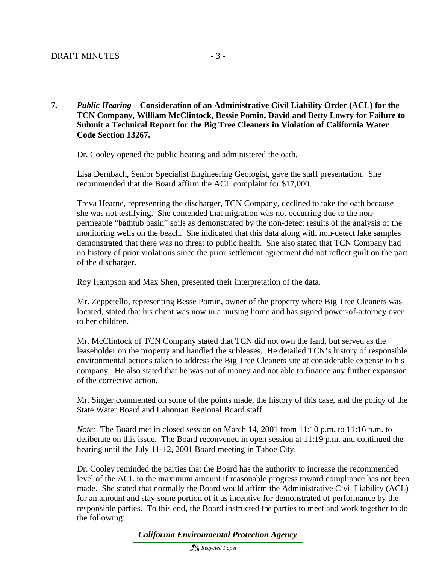#### **7***. Public Hearing* **– Consideration of an Administrative Civil Liability Order (ACL) for the TCN Company, William McClintock, Bessie Pomin, David and Betty Lowry for Failure to Submit a Technical Report for the Big Tree Cleaners in Violation of California Water Code Section 13267.**

Dr. Cooley opened the public hearing and administered the oath.

Lisa Dernbach, Senior Specialist Engineering Geologist, gave the staff presentation. She recommended that the Board affirm the ACL complaint for \$17,000.

Treva Hearne, representing the discharger, TCN Company, declined to take the oath because she was not testifying. She contended that migration was not occurring due to the nonpermeable "bathtub basin" soils as demonstrated by the non-detect results of the analysis of the monitoring wells on the beach. She indicated that this data along with non-detect lake samples demonstrated that there was no threat to public health. She also stated that TCN Company had no history of prior violations since the prior settlement agreement did not reflect guilt on the part of the discharger.

Roy Hampson and Max Shen, presented their interpretation of the data.

Mr. Zeppetello, representing Besse Pomin, owner of the property where Big Tree Cleaners was located, stated that his client was now in a nursing home and has signed power-of-attorney over to her children.

Mr. McClintock of TCN Company stated that TCN did not own the land, but served as the leaseholder on the property and handled the subleases. He detailed TCN's history of responsible environmental actions taken to address the Big Tree Cleaners site at considerable expense to his company. He also stated that he was out of money and not able to finance any further expansion of the corrective action.

Mr. Singer commented on some of the points made, the history of this case, and the policy of the State Water Board and Lahontan Regional Board staff.

*Note:* The Board met in closed session on March 14, 2001 from 11:10 p.m. to 11:16 p.m. to deliberate on this issue. The Board reconvened in open session at 11:19 p.m. and continued the hearing until the July 11-12, 2001 Board meeting in Tahoe City.

Dr. Cooley reminded the parties that the Board has the authority to increase the recommended level of the ACL to the maximum amount if reasonable progress toward compliance has not been made. She stated that normally the Board would affirm the Administrative Civil Liability (ACL) for an amount and stay some portion of it as incentive for demonstrated of performance by the responsible parties. To this end**,** the Board instructed the parties to meet and work together to do the following: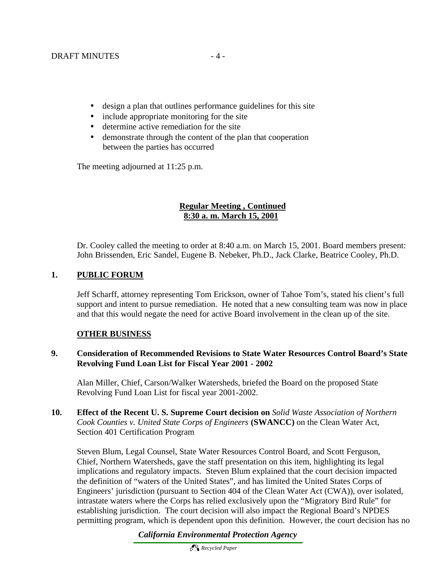- design a plan that outlines performance guidelines for this site
- include appropriate monitoring for the site
- determine active remediation for the site
- demonstrate through the content of the plan that cooperation between the parties has occurred

The meeting adjourned at 11:25 p.m.

# **Regular Meeting , Continued 8:30 a. m. March 15, 2001**

Dr. Cooley called the meeting to order at 8:40 a.m. on March 15, 2001. Board members present: John Brissenden, Eric Sandel, Eugene B. Nebeker, Ph.D., Jack Clarke, Beatrice Cooley, Ph.D.

## **1. PUBLIC FORUM**

Jeff Scharff, attorney representing Tom Erickson, owner of Tahoe Tom's, stated his client's full support and intent to pursue remediation. He noted that a new consulting team was now in place and that this would negate the need for active Board involvement in the clean up of the site.

### **OTHER BUSINESS**

### **9. Consideration of Recommended Revisions to State Water Resources Control Board's State Revolving Fund Loan List for Fiscal Year 2001 - 2002**

Alan Miller, Chief, Carson/Walker Watersheds, briefed the Board on the proposed State Revolving Fund Loan List for fiscal year 2001-2002.

**10. Effect of the Recent U. S. Supreme Court decision on** *Solid Waste Association of Northern Cook Counties v. United State Corps of Engineers* **(SWANCC)** on the Clean Water Act, Section 401 Certification Program

Steven Blum, Legal Counsel, State Water Resources Control Board, and Scott Ferguson, Chief, Northern Watersheds, gave the staff presentation on this item, highlighting its legal implications and regulatory impacts. Steven Blum explained that the court decision impacted the definition of "waters of the United States", and has limited the United States Corps of Engineers' jurisdiction (pursuant to Section 404 of the Clean Water Act (CWA)), over isolated, intrastate waters where the Corps has relied exclusively upon the "Migratory Bird Rule" for establishing jurisdiction. The court decision will also impact the Regional Board's NPDES permitting program, which is dependent upon this definition. However, the court decision has no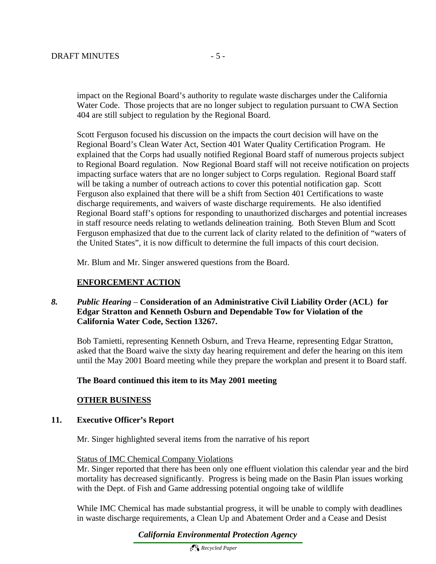impact on the Regional Board's authority to regulate waste discharges under the California Water Code. Those projects that are no longer subject to regulation pursuant to CWA Section 404 are still subject to regulation by the Regional Board.

Scott Ferguson focused his discussion on the impacts the court decision will have on the Regional Board's Clean Water Act, Section 401 Water Quality Certification Program. He explained that the Corps had usually notified Regional Board staff of numerous projects subject to Regional Board regulation. Now Regional Board staff will not receive notification on projects impacting surface waters that are no longer subject to Corps regulation. Regional Board staff will be taking a number of outreach actions to cover this potential notification gap. Scott Ferguson also explained that there will be a shift from Section 401 Certifications to waste discharge requirements, and waivers of waste discharge requirements. He also identified Regional Board staff's options for responding to unauthorized discharges and potential increases in staff resource needs relating to wetlands delineation training. Both Steven Blum and Scott Ferguson emphasized that due to the current lack of clarity related to the definition of "waters of the United States", it is now difficult to determine the full impacts of this court decision.

Mr. Blum and Mr. Singer answered questions from the Board.

#### **ENFORCEMENT ACTION**

#### *8. Public Hearing* – **Consideration of an Administrative Civil Liability Order (ACL) for Edgar Stratton and Kenneth Osburn and Dependable Tow for Violation of the California Water Code, Section 13267.**

Bob Tamietti, representing Kenneth Osburn, and Treva Hearne, representing Edgar Stratton, asked that the Board waive the sixty day hearing requirement and defer the hearing on this item until the May 2001 Board meeting while they prepare the workplan and present it to Board staff.

#### **The Board continued this item to its May 2001 meeting**

#### **OTHER BUSINESS**

#### **11. Executive Officer's Report**

Mr. Singer highlighted several items from the narrative of his report

#### Status of IMC Chemical Company Violations

Mr. Singer reported that there has been only one effluent violation this calendar year and the bird mortality has decreased significantly. Progress is being made on the Basin Plan issues working with the Dept. of Fish and Game addressing potential ongoing take of wildlife

While IMC Chemical has made substantial progress, it will be unable to comply with deadlines in waste discharge requirements, a Clean Up and Abatement Order and a Cease and Desist

*California Environmental Protection Agency*

 *Recycled Paper*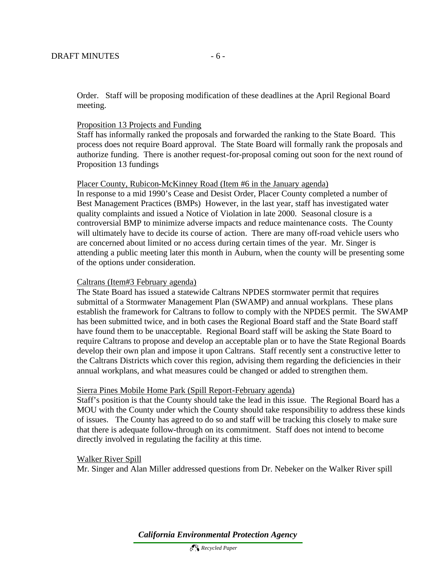Order. Staff will be proposing modification of these deadlines at the April Regional Board meeting.

#### Proposition 13 Projects and Funding

Staff has informally ranked the proposals and forwarded the ranking to the State Board. This process does not require Board approval. The State Board will formally rank the proposals and authorize funding. There is another request-for-proposal coming out soon for the next round of Proposition 13 fundings

#### Placer County, Rubicon-McKinney Road (Item #6 in the January agenda)

In response to a mid 1990's Cease and Desist Order, Placer County completed a number of Best Management Practices (BMPs) However, in the last year, staff has investigated water quality complaints and issued a Notice of Violation in late 2000. Seasonal closure is a controversial BMP to minimize adverse impacts and reduce maintenance costs. The County will ultimately have to decide its course of action. There are many off-road vehicle users who are concerned about limited or no access during certain times of the year. Mr. Singer is attending a public meeting later this month in Auburn, when the county will be presenting some of the options under consideration.

#### Caltrans (Item#3 February agenda)

The State Board has issued a statewide Caltrans NPDES stormwater permit that requires submittal of a Stormwater Management Plan (SWAMP) and annual workplans. These plans establish the framework for Caltrans to follow to comply with the NPDES permit. The SWAMP has been submitted twice, and in both cases the Regional Board staff and the State Board staff have found them to be unacceptable. Regional Board staff will be asking the State Board to require Caltrans to propose and develop an acceptable plan or to have the State Regional Boards develop their own plan and impose it upon Caltrans. Staff recently sent a constructive letter to the Caltrans Districts which cover this region, advising them regarding the deficiencies in their annual workplans, and what measures could be changed or added to strengthen them.

#### Sierra Pines Mobile Home Park (Spill Report-February agenda)

Staff's position is that the County should take the lead in this issue. The Regional Board has a MOU with the County under which the County should take responsibility to address these kinds of issues. The County has agreed to do so and staff will be tracking this closely to make sure that there is adequate follow-through on its commitment. Staff does not intend to become directly involved in regulating the facility at this time.

#### Walker River Spill

Mr. Singer and Alan Miller addressed questions from Dr. Nebeker on the Walker River spill